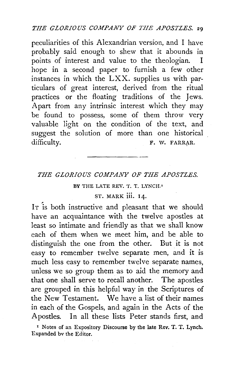peculiarities of this Alexandrian version, and I have probably said enough to shew that it abounds in points of interest and value to the theologian. I hope in a second paper to furnish a few other instances in which the LXX. supplies us with particulars of great interest, derived from the ritual practices or the floating traditions of the Jews. Apart from any intrinsic interest which they may be found to possess, some of them throw very valuable light on the condition of the text, and suggest the solution of more than one historical difficulty. F. W. FARRAR.

#### *THE GLORIOUS COMPANY OF THE APOSTLES.*

#### BY THE LATE REV. T. T. LYNCH.'

#### ST. MARK iii. 14.

IT is both instructive and pleasant that we should have an acquaintance with the twelve apostles at least so intimate and friendly as that we shall know each of them when we meet him, and be able to distinguish the one from the other. But it is not easy to remember twelve separate men, and it is much less easy to remember twelve separate names, unless we so group them as to aid the memory and that one shall serve to recall another. The apostles are grouped in this helpful way in the Scriptures of the New Testament. We have a list of their names in each of the Gospels, and again in the Acts of the Apostles. In all these lists Peter stands first, and

<sup>1</sup> Notes of an Expository Discourse by the late Rev. T. T. Lynch. Expanded bv the Editor.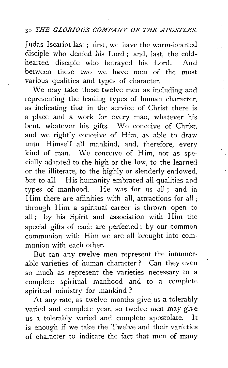Judas Iscariot last; first, we have the warm-hearted disciple who denied his Lord ; and, last, the coldhearted disciple who betrayed his Lord. And between these two we have men of the most various qualities and types of character.

'.

We may take these twelve men as including and representing the leading types of human character, as indicating that in the service of Christ there is a place and a work for every man, whatever his bent, whatever his gifts. We conceive of Christ, and we rightly conceive of Him, as able to draw unto Himself all mankind, and, therefore, every kind of man. We conceive of Him, not as specially adapted to the high or the low, to the learned or the illiterate, to the highly or slenderly endowed, but to all. His humanity embraced ali qualities and types of manhood. He was for us all; and in Him there are affinities with all, attractions for all, through Him a spiritual career is thrown open to all ; by his Spirit and association with Him the special gifts of each are perfected: by our common communion with Him we are all brought into communion with each other.

But can any twelve men represent the innumerable varieties of human character ? Can they even so much as represent the varieties necessary to a complete spiritual manhood and to a complete spiritual ministry for mankind ?

At any rate, as twelve months give us a tolerably varied and complete year, so twelve men may give us a tolerably varied and complete apostolate. It is enough if we take the Twelve and their varieties of character to indicate the fact that men of many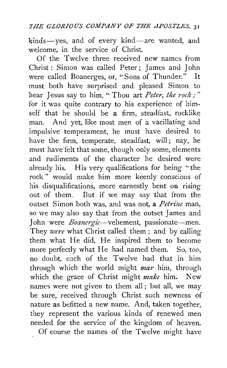kinds-yes, and of every kind-are wanted, and welcome, in the service of Christ.

Of the Twelve three received new names from Christ : Simon was called Peter ; James and John were called Boanerges, or, "Sons of Thunder." It must both have surprised and pleased Simon to hear Jesus say to him, " Thou art *Peter, the rock;"*  for it was quite contrary to his experience of himself that he should be a firm, steadfast, rocklike man. And yet, like most men of a vacillating and impulsive temperament, he must have desired to have the firm, temperate, steadfast, will; nay, he must have felt that some, though only some, elements and rudiments of the character he desired were already his. His very qualifications for being "the rock " wouid make him more keenly conscious of his disqualifications, more earnestly bent on rising out of them. But if we may say that from the outset Simon both was, and was not, a *Petrine* man, so we may also say that from the outset James and John were *Boanergic*-vehement, passionate-men. They *were* what Christ called them; and by calling them what He did, He inspired them to become more perfectly what He had named them. So, too, no doubt, each of the Twelve had that in him through which the world might *mar* him, through which the grace of Christ might *make* him. New names were not given to them all; but all, we may be sure, received through Christ such newness of nature as befitted a new name. And, taken together, they represent the various kinds of renewed men needed for the service of the kingdom of heaven. Of course the names of the Twelve might have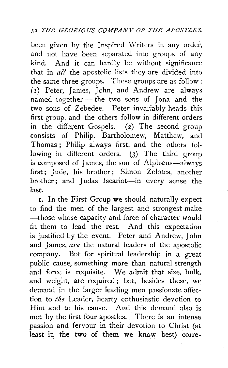been given by the Inspired Writers in any order, and not have been separated into groups of any kind. And it can hardly be without significance that in *all* the apostolic lists they are divided into the same three groups. These groups are as follow: (1) Peter, James, John, and Andrew are always named together - the two sons of Jona and the two sons of Zebedee. Peter invariably heads this first group, and the others follow in different orders in the different Gospels. (2) The second group consists of Philip, Bartholomew, Matthew, and Thomas ; Philip always first, and the others following in different orders. (3) The third group is composed of James, the son of Alphaeus-always first; Jude, his brother; Simon Zelotes, another brother; and Judas Iscariot-in every sense the last.

1. In the First Group we should naturally expect to find the men of the largest and strongest make -those whose capacity and force of character would fit them to lead the rest. And this expectation is justified by the event. Peter and Andrew, John and Jame£, *are* the natural leaders of the apostolic company. But for spiritual leadership in a great public cause, something more than natural strength and force is requisite. We admit that size, bulk, and weight, are required; but, besides these, we demand in the larger leading men passionate affection to *the* Leader, hearty enthusiastic devotion to Him and to his cause. And this demand also is met by the first four apostles. There is an intense passion and fervour in their devotion to Christ (at least in the two of them we know best) corre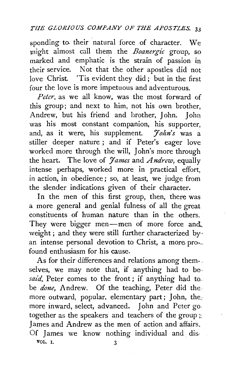sponding to. their natural force of character. We might almost call them the *Boanergic* group, so marked and emphatic is the strain of passion in their service. Not that the other apostles did not love Christ 'Tis evident they did ; but in the first four the love is more impetuous and adventurous.

*Peter,* as we all know, was the most forward of this group; and next to him, not his own brother, Andrew, but his friend and brother, John. John was his most constant companion, his supporter, and, as it were, his supplement. *7ohn's* was a stiller deeper nature ; and if Peter's eager love worked more through the will, John's more through the heart. The love of *James* and *Andrew*, equally intense perhaps, worked more in practical effort, in action, in obedience; so, at least, we judge from the slender indications given of their character.

In the men of this first group, then, there was a more general and genial fulness of all the great constituents of human nature than in the others. They were bigger men-men of more force and. weight; and they were still further characterized byan intense personal devotion to Christ, a more pro- found enthusiasm for his cause.

As for their differences and relations among themselves, we may note that, if anything had to besaid, Peter comes to the front; if anything had to. be *done,* Andrew. Of the teaching, Peter did the more outward, popular, elementary part; John, the. more inward, select, advanced. John and Peter go together as the speakers and teachers of the group  $\zeta$ : James and Andrew as the men of action and affairs. Of James we know nothing individual and dis-VOL. I. 3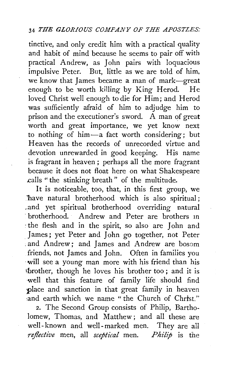tinctive, and only credit him with a practical quality and habit of mind because he seems to pair off with practical Andrew, as John pairs with loquacious impulsive Peter. But, little as we are told of him, we know that James became a man of mark-great enough to be worth killing by King Herod. He loved Christ well enough to die for Him; and Herod was sufficiently afraid of him to adjudge him to prison and the executioner's sword. A man of great worth and great importance, we yet know next to nothing of him-a fact worth considering; but Heaven has the records of unrecorded virtue and devotion unrewarded in good keeping. His name is fragrant in heaven; perhaps all the more fragrant because it does not float here on what Shakespeare calls "the stinking breath" of the multitude.

It is noticeable, too, that, in this first group, we Thave natural brotherhood which is also spiritual; and yet spiritual brotherhood overriding natural · brotherhood. Andrew and Peter are brothers in *:the* flesh and in the spirit, so also are John and . James; yet Peter and John go together, not Peter . and Andrew; and James and Andrew are bosom friends, not James and John. Often in families you ·will see a young man more with his friend than his fbrother, though he loves his brother too ; and it is well that this feature of family life should find place and sanction in that great family in heaven and earth which we name "the Church of Christ."

2. The Second Group consists of Philip, Bartholomew, Thomas, and Matthew; and all these are well- known and well -marked men. They are all *reflective* men, all *sceptical* men. *Philip* is the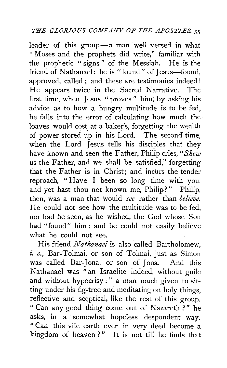leader of this group-a man well versed in what " Moses and the prophets did write," familiar with the prophetic "signs" of the Messiah. He is the friend of Nathanael: he is "found" of Jesus-found, approved, called ; and these are testimonies indeed ! He appears twice in the Sacred Narrative. The first time, when Jesus "proves" him, by asking his advice as to how a hungry multitude is to be fed, he falls into the error of calculating how much the loaves would cost at a baker's, forgetting the wealth of power stored up in his Lord. The second time, when the Lord Jesus tells his disciples that they have known and seen the Father, Philip cries, *"Shew*  us the Father, and we shall be satisfied," forgetting that the Father is in Christ; and incurs the tender reproach, " Have I been so long time with you, and yet hast thou not known me, Philip?" Philip, then, was a man that would *see* rather than *believe.*  He could not see how the multitude was to be fed, nor had he seen, as he wished, the God whose Son had "found" him : and he could not easily believe what he could not see.

His friend *Nathanael* is also called Bartholomew, *£. e.,* Bar-Tolmai, or sori of Tolmai, just as Simon was called Bar-Jona, or son of Jona. And this Nathanael was "an Israelite indeed, without guile and without hypocrisy : " a man much given to sitting under his fig-tree and meditating on holy things, reflective and sceptical; like the rest of this group. " Can any good thing come out of Nazareth ? " he asks, in a somewhat hopeless despondent way. " Can this vile earth ever in very deed become a kingdom of heaven?" It is not till he finds that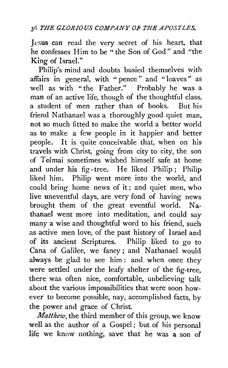Jesus can read the very secret of his heart, that he confesses Him to be "the Son of God" and "the King of Israel."

Philip's mind and doubts busied themselves with affairs in general, with "pence" and "loaves" as well as with "the Father." Probably he was a man of an active life, though of the thoughtful class, a student of men rather than of books. But his friend Nathanael was a thoroughly good quiet man, not so much fitted to make the world a better world as to make a few people in it happier and better people. It is quite conceivable that, when on his travels with Christ, going from city to city, the son of Tolmai sometimes wished himself safe at home and under his fig-tree. He liked Philip; Philip liked him. Philip went more into the world, and could bring home news of it; and quiet men, who live uneventful days, are very fond of having news brought them of the great eventful world. Nathanael went more into meditation, and could say many a wise and thoughtful word to his friend, such as active men love, of the past history of Israel and of its ancient Scriptures. Philip liked to go to Cana of Galilee, we fancy; and Nathanael would always be glad to see him: and when once they were settled under the leafy shelter of the fig-tree, there was often nice, comfortable, unbelieving talk about the various impossibilities that were soon however to become possible, nay, accomplished facts, by the power and grace of Christ.

*Matthew,* the third member of this group, we know well as the author of a Gospel; but of his personal life we know nothing, save that he was a son of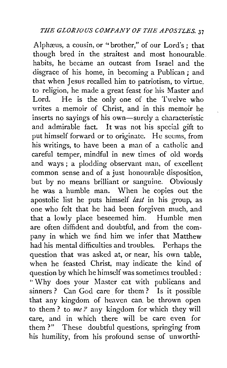Alphæus, a cousin, or "brother," of our Lord's; that though bred in the straitest and most honourable. habits, he became an outcast from Israel and the disgrace of his home, in becoming a Publican ; and that when Jesus recalled him to patriotism, to virtue. to religion, he made a great feast for his Master and Lord. He is the only one of the Twelve who writes a memoir of Christ, and in this memoir he inserts no sayings of his own—surely a characteristic and admirable fact. It was not his special gift to put himself forward or to originate. He seems, from his writings, to have been a man of a cathoiic and careful temper, mindful in new times of old words and ways ; a plodding observant man, of excellent common sense and of a just honourable disposition, but by no means brilliant or sanguine. Obviously he was a humble man. When he copies out the apostolic list he puts himself *last* in his group, as one who felt that he had been forgiven much, and that a lowly place beseemed him. Humble men are often diffident and doubtful, and from the company in which we find him we infer that Matthew had his mental difficulties and troubles. Perhaps the question that was asked at, or near, his own table, when he feasted Christ, may indicate the kind of question by which he himself was sometimes troubled: " Why does your Master eat with publicans and sinners ? Can God care for them ? Is it possible that any kingdom of heaven can. be thrown open to them ? to *me?* any kingdom for which they will care, and in which there will be care even for them?" These doubtful questions, springing from his humility, from his profound sense of unworthi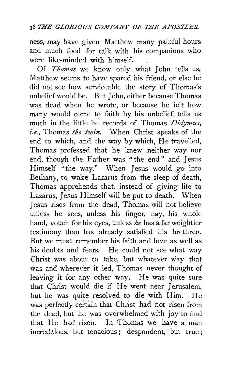ness, may have given Matthew many painful hours and much food for talk with his companions who were like-minded with himself.

Of *Thomas* we know only what John tells us. Matthew seems to have spared his friend, or else he did not see how serviceable the story of Thomas's unbelief would be. But John, either because Thomas was dead when he wrote, or because he felt how many would come to faith by his unbelief, tells us much in the little he records of Thomas *Didymus, i.e.,* Thomas *the twin.* When Christ speaks of the end to which, and the way by which, He travelled, Thomas professed that he knew neither way nor end, though the Father was "the end" and Jesus Himself "the way." When Jesus would go into Bethany, to wake Lazarus from the sleep of death, Thomas apprehends that, instead of giving life to Lazarus, Jesus Himself will be put to death. When Jesus rises from the dead, Thomas will not believe unless he sees, unless his finger, nay, his whole hand, vouch for his eyes, unless *he* has a far weightier testimony than has already satisfied his brethren.. But we must remember his faith and love as well as his doubts and fears. He could not see what way Christ was about to take, but whatever way that was and wherever it led, Thomas never thought of leaving it for any other way. He was quite sure that Christ would die if He went near Jerusalem, but he was quite resolved to die with Him. He was perfectly certain that Christ had not risen from the dead, but he was overwhelmed with joy to find that He. had risen. In Thomas we have a man incredulous, but tenacious; despondent, but true;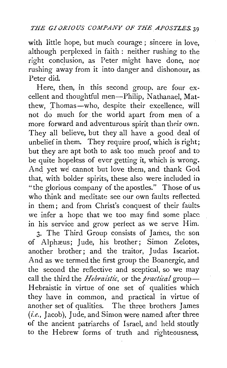with iittle hope, but much courage ; sincere in love, although perplexed in faith : neither rushing to the right conclusion, as Peter might have done, nor rushing away from it into danger and dishonour, as Peter did.

Here, then, in this second group. are four excellent and thoughtful men-Philip, Nathanael, Matthew, Thomas-who, despite their excellence, will not do much for. the world apart from men of a more forward and adventurous spirit than their own. They all believe, but they all have a good deal of unbelief in them. They require proof, which is right; but they are apt both to ask too much proof and to be quite hopeless of ever getting it, which is wrong. And yet we cannot but love them, and thank God that, with bolder spirits, these also were included in "the glorious company of the apostles." Those of uswho think and meditate see our own faults reflected in them; and from Christ's conquest of their faults. we infer a hope that we too may find some place in his service and grow perfect as we serve Him.

3. The Third Group consists of James, the son of Alphæus; Jude, his brother; Simon Zelotes, another brother; and the traitor, Judas Iscariot. And as we termed the first group the Boanergic, and the second the reflective and sceptical, so we may call the third the *Hebraistic*, or the *practical* group-Hebraistic in virtue of one set of qualities which they have in common, and practical in virtue of another set of qualities. The three brothers James *(i.e.,* Jacob), Jude, and Simon were named after three of the ancient patriarchs of Israel, and held stoutly to the Hebrew forms of truth and righteousness,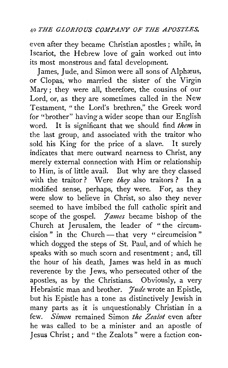even after they became Christian apostles; while, in Iscariot, the Hebrew love of gain worked out into its most monstrous and fatal development.

James, Jude, and Simon were all sons of Alphæus, or Clopas, who married the sister of the Virgin Mary ; they were all, therefore, the cousins of our Lord, or, as they are sometimes called in the New Testament, "the Lord's brethren," the Greek word for "brother" having a wider scope than our English word. It is significant that we should find *them* in the last group, and associated with the traitor who sold his King for the price of a slave. It surely indicates that mere outward nearness to Christ, any merely external connection with Him or relationship to Him, is of little avail. But why are they classed with the traitor ? Were *they* also traitors ? In a modified sense, perhaps, they were. For, as they were slow to believe in Christ, so also they never seemed to have imbibed the full catholic spirit and scope of the gospel. *James* became bishop of the Church at Jerusalem, the leader of " the circumcision" in the Church- that very " circumcision" which dogged the steps of St. Paul, and of which he speaks with so much scorn and resentment; and, till the hour of his death, James was held in as much' reverence by the Jews, who persecuted other of the apostles, as by the Christians. Obviously, a very Hebraistic man and brother. *Jude* wrote an Epistle, but his Epistle has a tone as distinctively Jewish in many parts as it is unquestionably Christian in a few. *Simon* remained Simon *the Zealot* even after he was called to be a minister and an apostle of Jesus Christ ; and " the Zealots" were a faction con-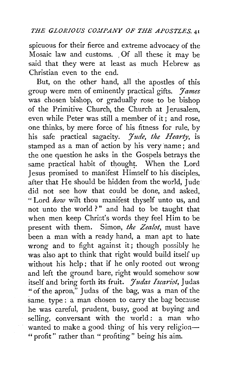spicuous for their fierce and extreme advocacy of the Mosaic law and customs. , Of all these it may be said that they were at least as much Hebrew as Christian even to the end.

But, on the other hand, all the apostles of this group were men of eminently practical gifts. *'James*  was chosen bishop, or gradually rose to be bishop of the Primitive Church, the Church at Jerusalem, even while Peter was still a member of it; and rose, one thinks, by mere force of his fitness for rule, by his safe practical sagacity. *'Jude, the Hearty,* is stamped as a man of action by his very 'name; and the one question he asks in the Gospels betrays the same practical habit of thought. When the Lord Jesus promised to manifest Himself to his disciples, after that He should be hidden from the world, Jude did not see how that could be done, and asked, " Lord *how* wilt thou manifest thyself unto us, and not unto the world?" and had to be taught that when men keep Christ's words they feel Him to be present with them. Simon, *the Zealot,* must have been a man with a ready hand, a man apt to hate wrong and to fight against it; though possibly he was also apt to think that right would build itself up without his help; that if he only rooted out wrong and left the ground bare, right would somehow sow itself and bring forth its fruit. *Judas Iscariot*, Judas " of the apron," Judas of the bag, was a man of the same type : a man chosen to carry the bag because he was careful, prudent, busy, good at buying and selling, conversant with the world: a man who wanted to make a good thing of his very religion-" profit" rather than " profiting" being his aim.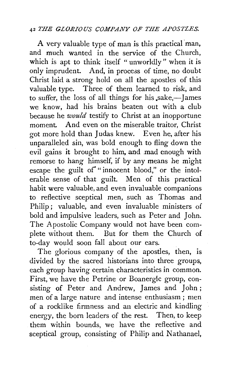A very valuable type of man is this practical man, and much wanted in the service of the Church, which is apt to think itself "unworldly" when it is only imprudent. And, in process of time, no doubt Christ laid a strong hold on all the apostles of this valuable type. Three of them learned to risk, and to suffer, the loss of all things for his sake,-James we know, had his brains beaten out with a club because he *would* testify to Christ at an inopportune moment, And even on the miserable traitor, Christ got more hold than Judas knew. Even he, after his unparalleled sin, was bold enough to fling down the evil gains it brought to him, and mad enough with remorse to hang himself, if by any means he might escape the guilt of "innocent blood," or the intolerable sense of that guilt. Men of this practical habit were valuable, and even invaluable companions to reflective sceptical men, such as Thomas and Philip; valuable, and even invaluable ministers of bold and impulsive leaders, such as Peter and John. The Apostolic Company would not have been complete without them. But for them the Church of to-day would soon fall about our ears.

The glorious company of the apostles, then, is divided by the sacred historians into three groups, each group having certain characteristics in common. First, we have the Petrine or Boanergic group, consisting of Peter and Andrew, James and John ; men of a large nature and intense enthusiasm ; men of a rocklike firmness and an electric and kindling energy, the born leaders of the rest. Then, to keep them within bounds, we have the reflective and sceptical group, consisting of Philip and Nathanael,